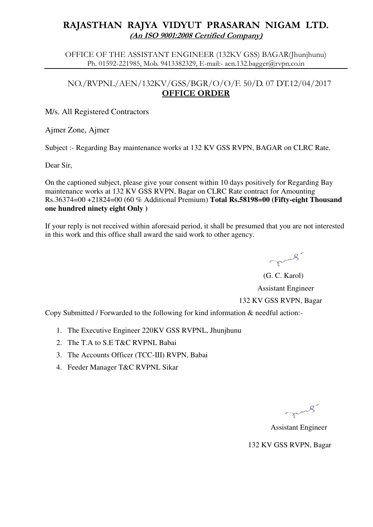# **RAJASTHAN RAJYA VIDYUT PRASARAN NIGAM LTD. (An ISO 9001:2008 Certified Company)**

OFFICE OF THE ASSISTANT ENGINEER (132KV GSS) BAGAR(Jhunjhunu) Ph. 01592-221985, Mob. 9413382329, E-mail:- aen.132.bagger@rvpn.co.in

### NO./RVPNL/AEN/132KV/GSS/BGR/O/O/F. 50/D. 07 DT.12/04/2017 **OFFICE ORDER**

#### M/s. All Registered Contractors

Ajmer Zone, Ajmer

Subject :- Regarding Bay maintenance works at 132 KV GSS RVPN, BAGAR on CLRC Rate.

Dear Sir,

On the captioned subject, please give your consent within 10 days positively for Regarding Bay maintenance works at 132 KV GSS RVPN, Bagar on CLRC Rate contract for Amounting Rs.36374=00 +21824=00 (60 % Additional Premium) **Total Rs.58198=00 (Fifty-eight Thousand one hundred ninety eight Only )**

If your reply is not received within aforesaid period, it shall be presumed that you are not interested in this work and this office shall award the said work to other agency.

mus.

 (G. C. Karol) Assistant Engineer 132 KV GSS RVPN, Bagar

Copy Submitted / Forwarded to the following for kind information & needful action:-

- 1. The Executive Engineer 220KV GSS RVPNL, Jhunjhunu
- 2. The T.A to S.E T&C RVPNL Babai
- 3. The Accounts Officer (TCC-III) RVPN, Babai
- 4. Feeder Manager T&C RVPNL Sikar

mus.

Assistant Engineer

132 KV GSS RVPN, Bagar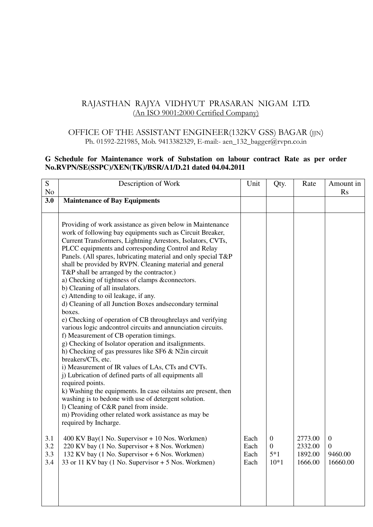## RAJASTHAN RAJYA VIDHYUT PRASARAN NIGAM LTD. (An ISO 9001:2000 Certified Company)

### OFFICE OF THE ASSISTANT ENGINEER(132KV GSS) BAGAR (JJN) Ph. 01592-221985, Mob. 9413382329, E-mail:- aen\_132\_bagger@rvpn.co.in

### **G Schedule for Maintenance work of Substation on labour contract Rate as per order No.RVPN/SE(SSPC)/XEN(TK)/BSR/A1/D.21 dated 04.04.2011**

| S<br>No                  | Description of Work                                                                                                                                                                                                                                                                                                                                                                                                                                                                                                                                                                                                                                                                                                                                                                                                                                                                                                                                                                                                                                                                                                                                                                                                                                                                                                              | Unit                         | Qty.                                                  | Rate                                     | Amount in<br><b>Rs</b>                                  |
|--------------------------|----------------------------------------------------------------------------------------------------------------------------------------------------------------------------------------------------------------------------------------------------------------------------------------------------------------------------------------------------------------------------------------------------------------------------------------------------------------------------------------------------------------------------------------------------------------------------------------------------------------------------------------------------------------------------------------------------------------------------------------------------------------------------------------------------------------------------------------------------------------------------------------------------------------------------------------------------------------------------------------------------------------------------------------------------------------------------------------------------------------------------------------------------------------------------------------------------------------------------------------------------------------------------------------------------------------------------------|------------------------------|-------------------------------------------------------|------------------------------------------|---------------------------------------------------------|
| 3.0                      | <b>Maintenance of Bay Equipments</b>                                                                                                                                                                                                                                                                                                                                                                                                                                                                                                                                                                                                                                                                                                                                                                                                                                                                                                                                                                                                                                                                                                                                                                                                                                                                                             |                              |                                                       |                                          |                                                         |
|                          | Providing of work assistance as given below in Maintenance<br>work of following bay equipments such as Circuit Breaker,<br>Current Transformers, Lightning Arrestors, Isolators, CVTs,<br>PLCC equipments and corresponding Control and Relay<br>Panels. (All spares, lubricating material and only special T&P<br>shall be provided by RVPN. Cleaning material and general<br>T&P shall be arranged by the contractor.)<br>a) Checking of tightness of clamps &connectors.<br>b) Cleaning of all insulators.<br>c) Attending to oil leakage, if any.<br>d) Cleaning of all Junction Boxes and secondary terminal<br>boxes.<br>e) Checking of operation of CB throughrelays and verifying<br>various logic andcontrol circuits and annunciation circuits.<br>f) Measurement of CB operation timings.<br>g) Checking of Isolator operation and itsalignments.<br>h) Checking of gas pressures like SF6 & N2in circuit<br>breakers/CTs, etc.<br>i) Measurement of IR values of LAs, CTs and CVTs.<br>j) Lubrication of defined parts of all equipments all<br>required points.<br>k) Washing the equipments. In case oilstains are present, then<br>washing is to bedone with use of detergent solution.<br>1) Cleaning of C&R panel from inside.<br>m) Providing other related work assistance as may be<br>required by Incharge. |                              |                                                       |                                          |                                                         |
| 3.1<br>3.2<br>3.3<br>3.4 | $400$ KV Bay(1 No. Supervisor + 10 Nos. Workmen)<br>220 KV bay (1 No. Supervisor + 8 Nos. Workmen)<br>132 KV bay (1 No. Supervisor + 6 Nos. Workmen)<br>33 or 11 KV bay (1 No. Supervisor + 5 Nos. Workmen)                                                                                                                                                                                                                                                                                                                                                                                                                                                                                                                                                                                                                                                                                                                                                                                                                                                                                                                                                                                                                                                                                                                      | Each<br>Each<br>Each<br>Each | $\overline{0}$<br>$\boldsymbol{0}$<br>$5*1$<br>$10*1$ | 2773.00<br>2332.00<br>1892.00<br>1666.00 | $\boldsymbol{0}$<br>$\mathbf{0}$<br>9460.00<br>16660.00 |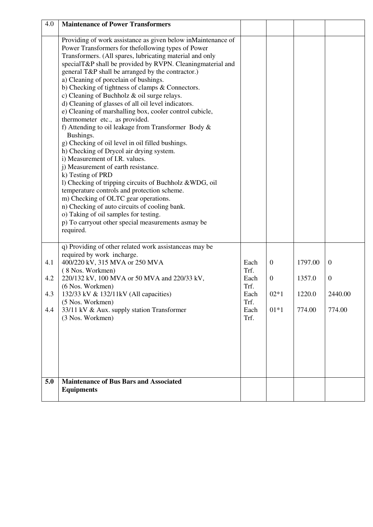| 4.0                      | <b>Maintenance of Power Transformers</b>                                                                                                                                                                                                                                                                                                                                                                                                                                                                                                                                                                                                                                                                                                                                                                                                                                                                                                                                                                                                                                                                                                                                               |                                                              |                                                      |                                       |                                                       |
|--------------------------|----------------------------------------------------------------------------------------------------------------------------------------------------------------------------------------------------------------------------------------------------------------------------------------------------------------------------------------------------------------------------------------------------------------------------------------------------------------------------------------------------------------------------------------------------------------------------------------------------------------------------------------------------------------------------------------------------------------------------------------------------------------------------------------------------------------------------------------------------------------------------------------------------------------------------------------------------------------------------------------------------------------------------------------------------------------------------------------------------------------------------------------------------------------------------------------|--------------------------------------------------------------|------------------------------------------------------|---------------------------------------|-------------------------------------------------------|
|                          | Providing of work assistance as given below inMaintenance of<br>Power Transformers for thefollowing types of Power<br>Transformers. (All spares, lubricating material and only<br>specialT&P shall be provided by RVPN. Cleaning material and<br>general T&P shall be arranged by the contractor.)<br>a) Cleaning of porcelain of bushings.<br>b) Checking of tightness of clamps & Connectors.<br>c) Cleaning of Buchholz $\&$ oil surge relays.<br>d) Cleaning of glasses of all oil level indicators.<br>e) Cleaning of marshalling box, cooler control cubicle,<br>thermometer etc., as provided.<br>f) Attending to oil leakage from Transformer Body &<br>Bushings.<br>g) Checking of oil level in oil filled bushings.<br>h) Checking of Drycol air drying system.<br>i) Measurement of I.R. values.<br>j) Measurement of earth resistance.<br>k) Testing of PRD<br>1) Checking of tripping circuits of Buchholz & WDG, oil<br>temperature controls and protection scheme.<br>m) Checking of OLTC gear operations.<br>n) Checking of auto circuits of cooling bank.<br>o) Taking of oil samples for testing.<br>p) To carryout other special measurements asmay be<br>required. |                                                              |                                                      |                                       |                                                       |
| 4.1<br>4.2<br>4.3<br>4.4 | q) Providing of other related work assistanceas may be<br>required by work incharge.<br>400/220 kV, 315 MVA or 250 MVA<br>(8 Nos. Workmen)<br>220/132 kV, 100 MVA or 50 MVA and 220/33 kV,<br>(6 Nos. Workmen)<br>132/33 kV & 132/11kV (All capacities)<br>(5 Nos. Workmen)<br>33/11 kV & Aux. supply station Transformer<br>(3 Nos. Workmen)                                                                                                                                                                                                                                                                                                                                                                                                                                                                                                                                                                                                                                                                                                                                                                                                                                          | Each<br>Trf.<br>Each<br>Trf.<br>Each<br>Trf.<br>Each<br>Trf. | $\mathbf{0}$<br>$\boldsymbol{0}$<br>$02*1$<br>$01*1$ | 1797.00<br>1357.0<br>1220.0<br>774.00 | $\mathbf{0}$<br>$\boldsymbol{0}$<br>2440.00<br>774.00 |
| 5.0                      | <b>Maintenance of Bus Bars and Associated</b><br><b>Equipments</b>                                                                                                                                                                                                                                                                                                                                                                                                                                                                                                                                                                                                                                                                                                                                                                                                                                                                                                                                                                                                                                                                                                                     |                                                              |                                                      |                                       |                                                       |